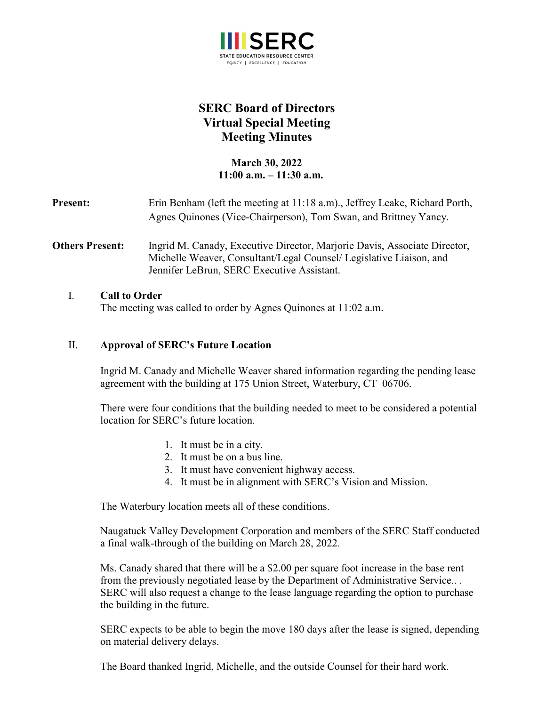

# **SERC Board of Directors Virtual Special Meeting Meeting Minutes**

**March 30, 2022 11:00 a.m. – 11:30 a.m.**

| <b>Present:</b>        | Erin Benham (left the meeting at 11:18 a.m)., Jeffrey Leake, Richard Porth,<br>Agnes Quinones (Vice-Chairperson), Tom Swan, and Brittney Yancy.                                                |
|------------------------|------------------------------------------------------------------------------------------------------------------------------------------------------------------------------------------------|
| <b>Others Present:</b> | Ingrid M. Canady, Executive Director, Marjorie Davis, Associate Director,<br>Michelle Weaver, Consultant/Legal Counsel/ Legislative Liaison, and<br>Jennifer LeBrun, SERC Executive Assistant. |

### I. **Call to Order**

The meeting was called to order by Agnes Quinones at 11:02 a.m.

#### II. **Approval of SERC's Future Location**

Ingrid M. Canady and Michelle Weaver shared information regarding the pending lease agreement with the building at 175 Union Street, Waterbury, CT 06706.

There were four conditions that the building needed to meet to be considered a potential location for SERC's future location.

- 1. It must be in a city.
- 2. It must be on a bus line.
- 3. It must have convenient highway access.
- 4. It must be in alignment with SERC's Vision and Mission.

The Waterbury location meets all of these conditions.

Naugatuck Valley Development Corporation and members of the SERC Staff conducted a final walk-through of the building on March 28, 2022.

Ms. Canady shared that there will be a \$2.00 per square foot increase in the base rent from the previously negotiated lease by the Department of Administrative Service.. . SERC will also request a change to the lease language regarding the option to purchase the building in the future.

SERC expects to be able to begin the move 180 days after the lease is signed, depending on material delivery delays.

The Board thanked Ingrid, Michelle, and the outside Counsel for their hard work.